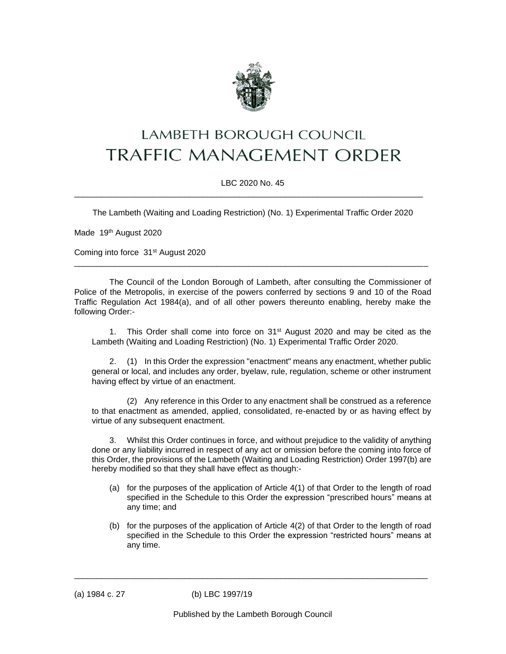

## LAMBETH BOROUGH COUNCIL **TRAFFIC MANAGEMENT ORDER**

LBC 2020 No. 45 \_\_\_\_\_\_\_\_\_\_\_\_\_\_\_\_\_\_\_\_\_\_\_\_\_\_\_\_\_\_\_\_\_\_\_\_\_\_\_\_\_\_\_\_\_\_\_\_\_\_\_\_\_\_\_\_\_\_\_\_\_\_\_\_\_\_\_\_\_\_\_\_\_\_\_\_

The Lambeth (Waiting and Loading Restriction) (No. 1) Experimental Traffic Order 2020

Made 19<sup>th</sup> August 2020

Coming into force 31st August 2020

The Council of the London Borough of Lambeth, after consulting the Commissioner of Police of the Metropolis, in exercise of the powers conferred by sections 9 and 10 of the Road Traffic Regulation Act 1984(a), and of all other powers thereunto enabling, hereby make the following Order:-

\_\_\_\_\_\_\_\_\_\_\_\_\_\_\_\_\_\_\_\_\_\_\_\_\_\_\_\_\_\_\_\_\_\_\_\_\_\_\_\_\_\_\_\_\_\_\_\_\_\_\_\_\_\_\_\_\_\_\_\_\_\_\_\_\_\_\_\_\_\_\_\_\_\_\_\_\_

1. This Order shall come into force on  $31^{st}$  August 2020 and may be cited as the Lambeth (Waiting and Loading Restriction) (No. 1) Experimental Traffic Order 2020.

2. (1) In this Order the expression "enactment" means any enactment, whether public general or local, and includes any order, byelaw, rule, regulation, scheme or other instrument having effect by virtue of an enactment.

(2) Any reference in this Order to any enactment shall be construed as a reference to that enactment as amended, applied, consolidated, re-enacted by or as having effect by virtue of any subsequent enactment.

3. Whilst this Order continues in force, and without prejudice to the validity of anything done or any liability incurred in respect of any act or omission before the coming into force of this Order, the provisions of the Lambeth (Waiting and Loading Restriction) Order 1997(b) are hereby modified so that they shall have effect as though:-

- (a) for the purposes of the application of Article 4(1) of that Order to the length of road specified in the Schedule to this Order the expression "prescribed hours" means at any time; and
- (b) for the purposes of the application of Article 4(2) of that Order to the length of road specified in the Schedule to this Order the expression "restricted hours" means at any time.

(a) 1984 c. 27 (b) LBC 1997/19

\_\_\_\_\_\_\_\_\_\_\_\_\_\_\_\_\_\_\_\_\_\_\_\_\_\_\_\_\_\_\_\_\_\_\_\_\_\_\_\_\_\_\_\_\_\_\_\_\_\_\_\_\_\_\_\_\_\_\_\_\_\_\_\_\_\_\_\_\_\_\_\_\_\_\_\_\_